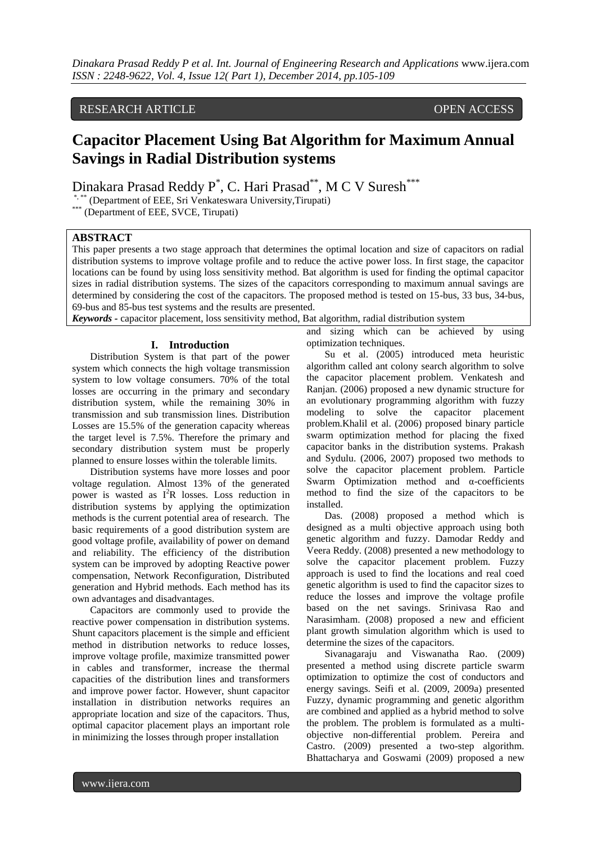# RESEARCH ARTICLE OPEN ACCESS

# **Capacitor Placement Using Bat Algorithm for Maximum Annual Savings in Radial Distribution systems**

Dinakara Prasad Reddy P<sup>\*</sup>, C. Hari Prasad<sup>\*\*</sup>, M C V Suresh<sup>\*\*\*</sup>

\*, \*\* (Department of EEE, Sri Venkateswara University,Tirupati)

\*\*\* (Department of EEE, SVCE, Tirupati)

# **ABSTRACT**

This paper presents a two stage approach that determines the optimal location and size of capacitors on radial distribution systems to improve voltage profile and to reduce the active power loss. In first stage, the capacitor locations can be found by using loss sensitivity method. Bat algorithm is used for finding the optimal capacitor sizes in radial distribution systems. The sizes of the capacitors corresponding to maximum annual savings are determined by considering the cost of the capacitors. The proposed method is tested on 15-bus, 33 bus, 34-bus, 69-bus and 85-bus test systems and the results are presented.

*Keywords -* capacitor placement, loss sensitivity method, Bat algorithm, radial distribution system

# **I. Introduction**

Distribution System is that part of the power system which connects the high voltage transmission system to low voltage consumers. 70% of the total losses are occurring in the primary and secondary distribution system, while the remaining 30% in transmission and sub transmission lines. Distribution Losses are 15.5% of the generation capacity whereas the target level is 7.5%. Therefore the primary and secondary distribution system must be properly planned to ensure losses within the tolerable limits.

Distribution systems have more losses and poor voltage regulation. Almost 13% of the generated power is wasted as I <sup>2</sup>R losses. Loss reduction in distribution systems by applying the optimization methods is the current potential area of research. The basic requirements of a good distribution system are good voltage profile, availability of power on demand and reliability. The efficiency of the distribution system can be improved by adopting Reactive power compensation, Network Reconfiguration, Distributed generation and Hybrid methods. Each method has its own advantages and disadvantages.

Capacitors are commonly used to provide the reactive power compensation in distribution systems. Shunt capacitors placement is the simple and efficient method in distribution networks to reduce losses, improve voltage profile, maximize transmitted power in cables and transformer, increase the thermal capacities of the distribution lines and transformers and improve power factor. However, shunt capacitor installation in distribution networks requires an appropriate location and size of the capacitors. Thus, optimal capacitor placement plays an important role in minimizing the losses through proper installation

and sizing which can be achieved by using optimization techniques.

Su et al. (2005) introduced meta heuristic algorithm called ant colony search algorithm to solve the capacitor placement problem. Venkatesh and Ranjan. (2006) proposed a new dynamic structure for an evolutionary programming algorithm with fuzzy modeling to solve the capacitor placement problem.Khalil et al. (2006) proposed binary particle swarm optimization method for placing the fixed capacitor banks in the distribution systems. Prakash and Sydulu. (2006, 2007) proposed two methods to solve the capacitor placement problem. Particle Swarm Optimization method and α-coefficients method to find the size of the capacitors to be installed.

Das. (2008) proposed a method which is designed as a multi objective approach using both genetic algorithm and fuzzy. Damodar Reddy and Veera Reddy. (2008) presented a new methodology to solve the capacitor placement problem. Fuzzy approach is used to find the locations and real coed genetic algorithm is used to find the capacitor sizes to reduce the losses and improve the voltage profile based on the net savings. Srinivasa Rao and Narasimham. (2008) proposed a new and efficient plant growth simulation algorithm which is used to determine the sizes of the capacitors.

Sivanagaraju and Viswanatha Rao. (2009) presented a method using discrete particle swarm optimization to optimize the cost of conductors and energy savings. Seifi et al. (2009, 2009a) presented Fuzzy, dynamic programming and genetic algorithm are combined and applied as a hybrid method to solve the problem. The problem is formulated as a multiobjective non-differential problem. Pereira and Castro. (2009) presented a two-step algorithm. Bhattacharya and Goswami (2009) proposed a new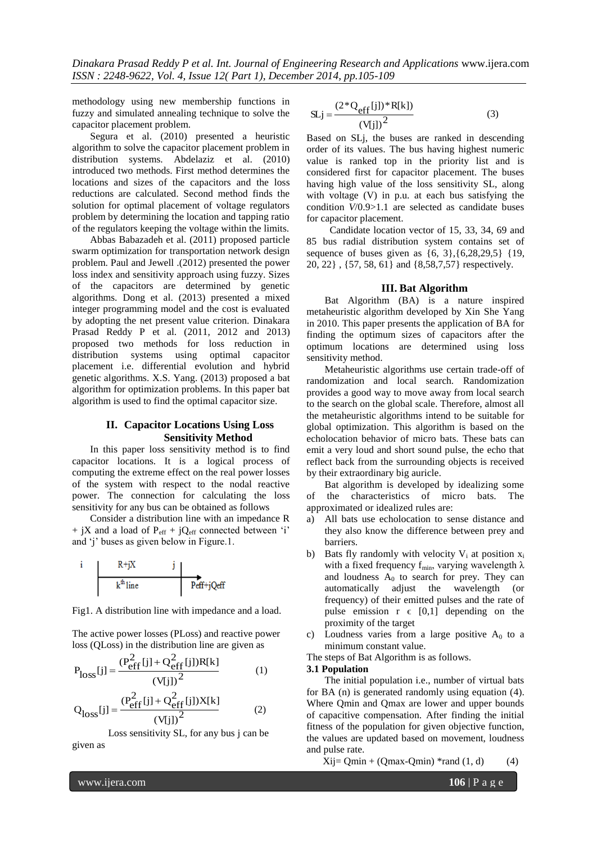methodology using new membership functions in fuzzy and simulated annealing technique to solve the capacitor placement problem.

Segura et al. (2010) presented a heuristic algorithm to solve the capacitor placement problem in distribution systems. Abdelaziz et al. (2010) introduced two methods. First method determines the locations and sizes of the capacitors and the loss reductions are calculated. Second method finds the solution for optimal placement of voltage regulators problem by determining the location and tapping ratio of the regulators keeping the voltage within the limits.

Abbas Babazadeh et al. (2011) proposed particle swarm optimization for transportation network design problem. Paul and Jewell .(2012) presented the power loss index and sensitivity approach using fuzzy. Sizes of the capacitors are determined by genetic algorithms. Dong et al. (2013) presented a mixed integer programming model and the cost is evaluated by adopting the net present value criterion. Dinakara Prasad Reddy P et al. (2011, 2012 and 2013) proposed two methods for loss reduction in distribution systems using optimal capacitor placement i.e. differential evolution and hybrid genetic algorithms. X.S. Yang. (2013) proposed a bat algorithm for optimization problems. In this paper bat algorithm is used to find the optimal capacitor size.

# **II. Capacitor Locations Using Loss Sensitivity Method**

In this paper loss sensitivity method is to find capacitor locations. It is a logical process of computing the extreme effect on the real power losses of the system with respect to the nodal reactive power. The connection for calculating the loss sensitivity for any bus can be obtained as follows

Consider a distribution line with an impedance R + jX and a load of  $P_{eff}$  + jQ<sub>eff</sub> connected between 'i' and 'j' buses as given below in Figure.1.

$$
\begin{array}{c|c|c} i & R+jX & j \\ \hline & k^{\text{th}} \text{line} & Peff+jQeff \end{array}
$$

Fig1. A distribution line with impedance and a load.

The active power losses (PLoss) and reactive power loss (QLoss) in the distribution line are given as

$$
P_{loss}[j] = \frac{(P_{eff}^2[j] + Q_{eff}^2[j])R[k]}{(V[j])^2}
$$
 (1)

$$
Q_{loss}[j] = \frac{(P_{eff}^2[j] + Q_{eff}^2[j])X[k]}{(V[j])^2}
$$
 (2)

Loss sensitivity SL, for any bus j can be given as

$$
SLj = \frac{(2 \times Q_{eff}[j]) \times R[k])}{(V[j])^{2}}
$$
(3)

Based on SLj, the buses are ranked in descending order of its values. The bus having highest numeric value is ranked top in the priority list and is considered first for capacitor placement. The buses having high value of the loss sensitivity SL, along with voltage (V) in p.u. at each bus satisfying the condition *V*/0.9>1.1 are selected as candidate buses for capacitor placement.

 Candidate location vector of 15, 33, 34, 69 and 85 bus radial distribution system contains set of sequence of buses given as {6, 3},{6,28,29,5} {19, 20, 22} , {57, 58, 61} and {8,58,7,57} respectively.

# **III. Bat Algorithm**

Bat Algorithm (BA) is a nature inspired metaheuristic algorithm developed by Xin She Yang in 2010. This paper presents the application of BA for finding the optimum sizes of capacitors after the optimum locations are determined using loss sensitivity method.

Metaheuristic algorithms use certain trade-off of randomization and local search. Randomization provides a good way to move away from local search to the search on the global scale. Therefore, almost all the metaheuristic algorithms intend to be suitable for global optimization. This algorithm is based on the echolocation behavior of micro bats. These bats can emit a very loud and short sound pulse, the echo that reflect back from the surrounding objects is received by their extraordinary big auricle.

Bat algorithm is developed by idealizing some of the characteristics of micro bats. The approximated or idealized rules are:

- a) All bats use echolocation to sense distance and they also know the difference between prey and barriers.
- b) Bats fly randomly with velocity  $V_i$  at position  $x_i$ with a fixed frequency  $f_{min}$ , varying wavelength  $\lambda$ and loudness  $A_0$  to search for prey. They can automatically adjust the wavelength (or frequency) of their emitted pulses and the rate of pulse emission  $r \in [0,1]$  depending on the proximity of the target
- c) Loudness varies from a large positive  $A_0$  to a minimum constant value.

The steps of Bat Algorithm is as follows.

# **3.1 Population**

The initial population i.e., number of virtual bats for BA (n) is generated randomly using equation (4). Where Qmin and Qmax are lower and upper bounds of capacitive compensation. After finding the initial fitness of the population for given objective function, the values are updated based on movement, loudness and pulse rate.

 $Xij = Qmin + (Qmax-Qmin) * rand(1, d)$  (4)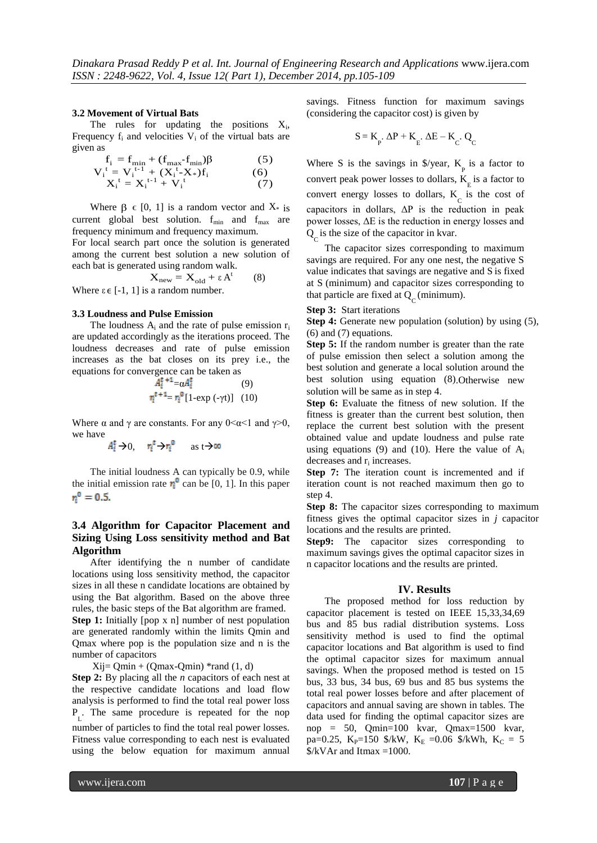#### **3.2 Movement of Virtual Bats**

The rules for updating the positions  $X_i$ , Frequency  $f_i$  and velocities  $V_i$  of the virtual bats are given as

$$
\mathbf{f}_{i} = \mathbf{f}_{\min} + (\mathbf{f}_{\max} \mathbf{f}_{\min}) \beta \tag{5}
$$

$$
V_i^t = V_i^{t-1} + (X_i^t - X_*)f_i
$$
 (6)  

$$
X_i^t = X_i^{t-1} + V_i^t
$$
 (7)

$$
X_i^t = X_i^{t-1} + V_i^t \tag{7}
$$

Where  $\beta \in [0, 1]$  is a random vector and  $X^*$  is current global best solution.  $f_{min}$  and  $f_{max}$  are frequency minimum and frequency maximum.

For local search part once the solution is generated among the current best solution a new solution of each bat is generated using random walk.

$$
X_{\text{new}} = X_{\text{old}} + \varepsilon A^t \qquad (8)
$$

Where  $\varepsilon \in [-1, 1]$  is a random number.

#### **3.3 Loudness and Pulse Emission**

The loudness  $A_i$  and the rate of pulse emission  $r_i$ are updated accordingly as the iterations proceed. The loudness decreases and rate of pulse emission increases as the bat closes on its prey i.e., the equations for convergence can be taken as

$$
A_{\tilde{i}}^{\tilde{t}+1} = \alpha A_{\tilde{i}}^{\tilde{t}}
$$
 (9)  

$$
\eta_{\tilde{i}}^{\tilde{t}+1} = \eta_{\tilde{i}}^{\tilde{t}} [1 - \exp(-\gamma t)]
$$
 (10)

Where  $\alpha$  and  $\gamma$  are constants. For any 0 <  $\alpha$  < 1 and  $\gamma$  > 0, we have

$$
A_1^{\mathsf{F}} \to 0, \quad r_{\mathsf{I}}^{\mathsf{F}} \to r_{\mathsf{I}}^{\mathsf{0}} \qquad \text{as } \mathsf{t} \to \infty
$$

The initial loudness A can typically be 0.9, while the initial emission rate  $r_i^{\circ}$  can be [0, 1]. In this paper  $r_i^0 = 0.5$ .

# **3.4 Algorithm for Capacitor Placement and Sizing Using Loss sensitivity method and Bat Algorithm**

After identifying the n number of candidate locations using loss sensitivity method, the capacitor sizes in all these n candidate locations are obtained by using the Bat algorithm. Based on the above three rules, the basic steps of the Bat algorithm are framed.

**Step 1:** Initially [pop x n] number of nest population are generated randomly within the limits Qmin and Qmax where pop is the population size and n is the number of capacitors

 $Xij = Qmin + (Qmax-Qmin) *rand(1, d)$ 

**Step 2:** By placing all the *n* capacitors of each nest at the respective candidate locations and load flow analysis is performed to find the total real power loss P L . The same procedure is repeated for the nop number of particles to find the total real power losses. Fitness value corresponding to each nest is evaluated using the below equation for maximum annual

savings. Fitness function for maximum savings (considering the capacitor cost) is given by

$$
S = K_{p}.\ \Delta P + K_{E}.\ \Delta E - K_{C}.\ Q_{C}
$$

Where S is the savings in  $\sqrt{s}$  /year,  $K_p$  is a factor to convert peak power losses to dollars,  $K_{\rm g}$  is a factor to convert energy losses to dollars,  $K_c$  is the cost of capacitors in dollars,  $\Delta P$  is the reduction in peak power losses, ΔE is the reduction in energy losses and  $Q<sub>C</sub>$  is the size of the capacitor in kvar.

The capacitor sizes corresponding to maximum savings are required. For any one nest, the negative S value indicates that savings are negative and S is fixed at S (minimum) and capacitor sizes corresponding to that particle are fixed at  $Q_C$  (minimum).

#### **Step 3:** Start iterations

**Step 4:** Generate new population (solution) by using (5), (6) and (7) equations.

**Step 5:** If the random number is greater than the rate of pulse emission then select a solution among the best solution and generate a local solution around the best solution using equation (8).Otherwise new solution will be same as in step 4.

**Step 6:** Evaluate the fitness of new solution. If the fitness is greater than the current best solution, then replace the current best solution with the present obtained value and update loudness and pulse rate using equations (9) and (10). Here the value of  $A_i$ decreases and r<sub>i</sub> increases.

**Step 7:** The iteration count is incremented and if iteration count is not reached maximum then go to step 4.

**Step 8:** The capacitor sizes corresponding to maximum fitness gives the optimal capacitor sizes in *j* capacitor locations and the results are printed.

**Step9:** The capacitor sizes corresponding to maximum savings gives the optimal capacitor sizes in n capacitor locations and the results are printed.

#### **IV. Results**

The proposed method for loss reduction by capacitor placement is tested on IEEE 15,33,34,69 bus and 85 bus radial distribution systems. Loss sensitivity method is used to find the optimal capacitor locations and Bat algorithm is used to find the optimal capacitor sizes for maximum annual savings. When the proposed method is tested on 15 bus, 33 bus, 34 bus, 69 bus and 85 bus systems the total real power losses before and after placement of capacitors and annual saving are shown in tables. The data used for finding the optimal capacitor sizes are nop = 50, Qmin=100 kvar, Qmax=1500 kvar, pa=0.25, K<sub>P</sub>=150 \$/kW, K<sub>E</sub> =0.06 \$/kWh, K<sub>C</sub> = 5  $\frac{\sqrt{2}}{8}$  XVAr and Itmax =1000.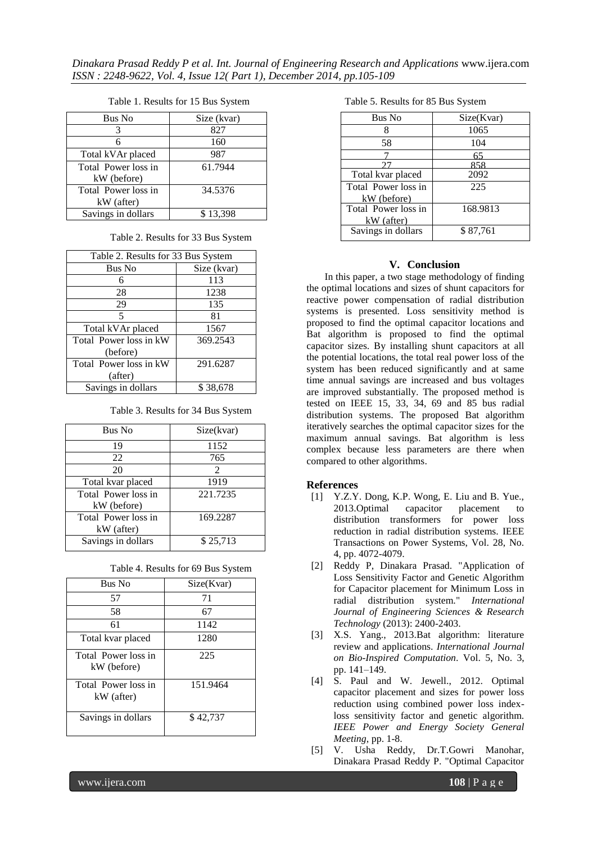*Dinakara Prasad Reddy P et al. Int. Journal of Engineering Research and Applications* www.ijera.com *ISSN : 2248-9622, Vol. 4, Issue 12( Part 1), December 2014, pp.105-109*

#### Table 1. Results for 15 Bus System

| <b>Bus No</b>                      | Size (kvar) |
|------------------------------------|-------------|
|                                    | 827         |
| 6                                  | 160         |
| Total kVAr placed                  | 987         |
| Total Power loss in<br>kW (before) | 61.7944     |
| Total Power loss in                | 34.5376     |
| kW (after)                         |             |
| Savings in dollars                 | \$13,398    |

#### Table 2. Results for 33 Bus System

| Table 2. Results for 33 Bus System |             |
|------------------------------------|-------------|
| Bus No                             | Size (kvar) |
| 6                                  | 113         |
| 28                                 | 1238        |
| 29                                 | 135         |
| 5                                  | 81          |
| Total kVAr placed                  | 1567        |
| Total Power loss in kW             | 369.2543    |
| (before)                           |             |
| Total Power loss in kW             | 291.6287    |
| (after)                            |             |
| Savings in dollars                 | \$38,678    |

Table 3. Results for 34 Bus System

| Bus No                             | Size(kvar)                  |
|------------------------------------|-----------------------------|
| 19                                 | 1152                        |
| 22                                 | 765                         |
| 20                                 | $\mathcal{D}_{\mathcal{L}}$ |
| Total kvar placed                  | 1919                        |
| Total Power loss in<br>kW (before) | 221.7235                    |
| Total Power loss in<br>kW (after)  | 169.2287                    |
| Savings in dollars                 | \$25,713                    |

Table 4. Results for 69 Bus System

| Bus No                             | Size(Kvar) |
|------------------------------------|------------|
| 57                                 | 71         |
| 58                                 | 67         |
| 61                                 | 1142       |
| Total kvar placed                  | 1280       |
| Total Power loss in<br>kW (before) | 225        |
| Total Power loss in<br>kW (after)  | 151.9464   |
| Savings in dollars                 | \$42,737   |

| Table 5. Results for 85 Bus System |  |
|------------------------------------|--|
|------------------------------------|--|

| Bus No              | Size(Kvar) |
|---------------------|------------|
| 8                   | 1065       |
| 58                  | 104        |
|                     | 65         |
|                     | 858        |
| Total kvar placed   | 2092       |
| Total Power loss in | 225        |
| kW (before)         |            |
| Total Power loss in | 168.9813   |
| kW (after)          |            |
| Savings in dollars  | \$87,761   |
|                     |            |

### **V. Conclusion**

In this paper, a two stage methodology of finding the optimal locations and sizes of shunt capacitors for reactive power compensation of radial distribution systems is presented. Loss sensitivity method is proposed to find the optimal capacitor locations and Bat algorithm is proposed to find the optimal capacitor sizes. By installing shunt capacitors at all the potential locations, the total real power loss of the system has been reduced significantly and at same time annual savings are increased and bus voltages are improved substantially. The proposed method is tested on IEEE 15, 33, 34, 69 and 85 bus radial distribution systems. The proposed Bat algorithm iteratively searches the optimal capacitor sizes for the maximum annual savings. Bat algorithm is less complex because less parameters are there when compared to other algorithms.

#### **References**

- [1] Y.Z.Y. Dong, K.P. Wong, E. Liu and B. Yue., 2013.Optimal capacitor placement to distribution transformers for power loss reduction in radial distribution systems. IEEE Transactions on Power Systems, Vol. 28, No. 4, pp. 4072-4079.
- [2] Reddy P, Dinakara Prasad. "Application of Loss Sensitivity Factor and Genetic Algorithm for Capacitor placement for Minimum Loss in radial distribution system." *International Journal of Engineering Sciences & Research Technology* (2013): 2400-2403.
- [3] X.S. Yang., 2013.Bat algorithm: literature review and applications. *International Journal on Bio-Inspired Computation*. Vol. 5, No. 3, pp. 141–149.
- [4] S. Paul and W. Jewell., 2012. Optimal capacitor placement and sizes for power loss reduction using combined power loss indexloss sensitivity factor and genetic algorithm. *IEEE Power and Energy Society General Meeting*, pp. 1-8.
- [5] V. Usha Reddy, Dr.T.Gowri Manohar, Dinakara Prasad Reddy P. "Optimal Capacitor